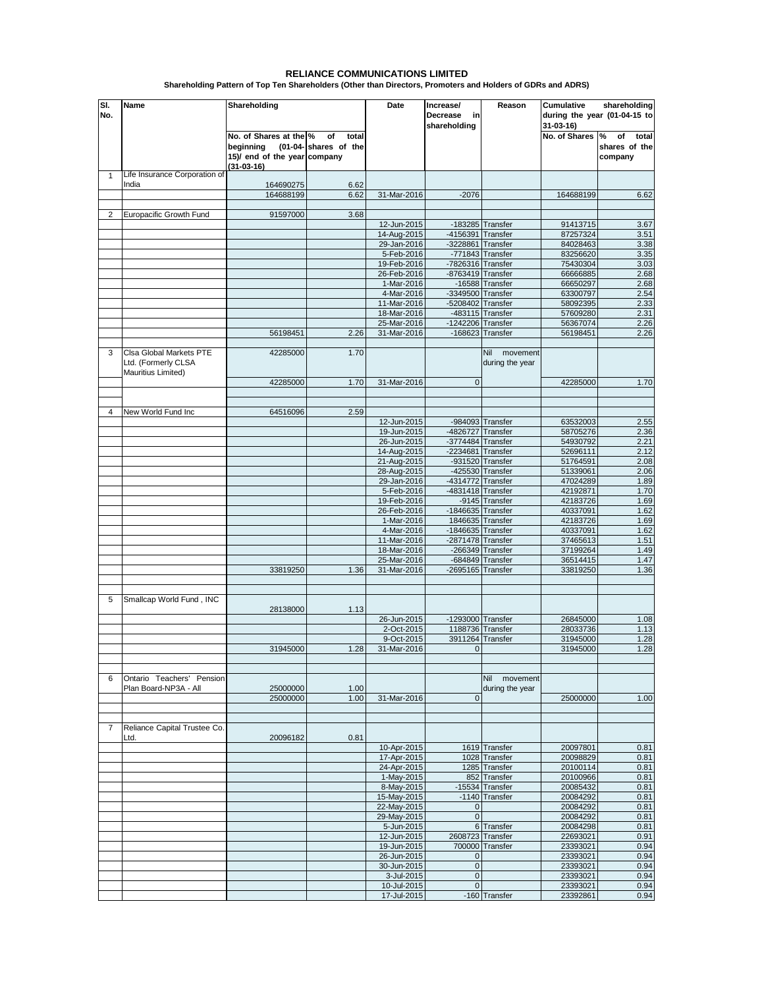## **RELIANCE COMMUNICATIONS LIMITED**

**Shareholding Pattern of Top Ten Shareholders (Other than Directors, Promoters and Holders of GDRs and ADRS)**

| SI.<br>No.     | Name                                                                 | Shareholding                                                                        |                                      | Date                       | Increase/<br>Decrease<br>in<br>shareholding | Reason                                   | Cumulative<br>31-03-16) | shareholding<br>during the year (01-04-15 to |
|----------------|----------------------------------------------------------------------|-------------------------------------------------------------------------------------|--------------------------------------|----------------------------|---------------------------------------------|------------------------------------------|-------------------------|----------------------------------------------|
|                |                                                                      | No. of Shares at the %<br>beginning<br>15)/ end of the year company<br>$(31-03-16)$ | οf<br>total<br>(01-04- shares of the |                            |                                             |                                          | No. of Shares           | of<br>℅<br>total<br>shares of the<br>company |
| $\mathbf{1}$   | Life Insurance Corporation of                                        |                                                                                     |                                      |                            |                                             |                                          |                         |                                              |
|                | India                                                                | 164690275<br>164688199                                                              | 6.62<br>6.62                         | 31-Mar-2016                | $-2076$                                     |                                          | 164688199               | 6.62                                         |
|                |                                                                      |                                                                                     |                                      |                            |                                             |                                          |                         |                                              |
| 2              | Europacific Growth Fund                                              | 91597000                                                                            | 3.68                                 |                            |                                             |                                          |                         |                                              |
|                |                                                                      |                                                                                     |                                      | 12-Jun-2015<br>14-Aug-2015 | -4156391 Transfer                           | $-183285$ Transfer                       | 91413715<br>87257324    | 3.67<br>3.51                                 |
|                |                                                                      |                                                                                     |                                      | 29-Jan-2016                | $-3228861$                                  | Transfer                                 | 84028463                | 3.38                                         |
|                |                                                                      |                                                                                     |                                      | 5-Feb-2016                 |                                             | $-771843$ Transfer                       | 83256620                | 3.35                                         |
|                |                                                                      |                                                                                     |                                      | 19-Feb-2016                | $-7826316$ Transfer                         |                                          | 75430304                | 3.03                                         |
|                |                                                                      |                                                                                     |                                      | 26-Feb-2016<br>1-Mar-2016  | -8763419 Transfer                           | -16588 Transfer                          | 66666885<br>66650297    | 2.68<br>2.68                                 |
|                |                                                                      |                                                                                     |                                      | 4-Mar-2016                 | -3349500 Transfer                           |                                          | 63300797                | 2.54                                         |
|                |                                                                      |                                                                                     |                                      | 11-Mar-2016                | -5208402 Transfer                           |                                          | 58092395                | 2.33                                         |
|                |                                                                      |                                                                                     |                                      | 18-Mar-2016                |                                             | -483115 Transfer                         | 57609280                | 2.31                                         |
|                |                                                                      |                                                                                     |                                      | 25-Mar-2016                | $-1242206$ Transfer                         |                                          | 56367074                | 2.26                                         |
|                |                                                                      | 56198451                                                                            | 2.26                                 | 31-Mar-2016                |                                             | $-168623$ Transfer                       | 56198451                | 2.26                                         |
| 3              | Clsa Global Markets PTE<br>Ltd. (Formerly CLSA<br>Mauritius Limited) | 42285000                                                                            | 1.70                                 |                            |                                             | Nil<br>movement<br>during the year       |                         |                                              |
|                |                                                                      | 42285000                                                                            | 1.70                                 | 31-Mar-2016                | $\mathbf{0}$                                |                                          | 42285000                | 1.70                                         |
| 4              | New World Fund Inc                                                   | 64516096                                                                            | 2.59                                 |                            |                                             |                                          |                         |                                              |
|                |                                                                      |                                                                                     |                                      | 12-Jun-2015                |                                             | -984093 Transfer                         | 63532003                | 2.55                                         |
|                |                                                                      |                                                                                     |                                      | 19-Jun-2015                | -4826727 Transfer                           |                                          | 58705276                | 2.36                                         |
|                |                                                                      |                                                                                     |                                      | 26-Jun-2015                | $-3774484$ Transfer                         |                                          | 54930792                | 2.21                                         |
|                |                                                                      |                                                                                     |                                      | 14-Aug-2015                | -2234681 Transfer                           |                                          | 52696111                | 2.12                                         |
|                |                                                                      |                                                                                     |                                      | 21-Aug-2015<br>28-Aug-2015 |                                             | $-931520$ Transfer<br>$-425530$ Transfer | 51764591<br>51339061    | 2.08<br>2.06                                 |
|                |                                                                      |                                                                                     |                                      | 29-Jan-2016                | -4314772 Transfer                           |                                          | 47024289                | 1.89                                         |
|                |                                                                      |                                                                                     |                                      | 5-Feb-2016                 | -4831418 Transfer                           |                                          | 42192871                | 1.70                                         |
|                |                                                                      |                                                                                     |                                      | 19-Feb-2016                |                                             | -9145 Transfer                           | 42183726                | 1.69                                         |
|                |                                                                      |                                                                                     |                                      | 26-Feb-2016<br>1-Mar-2016  | -1846635 Transfer<br>1846635 Transfer       |                                          | 40337091<br>42183726    | 1.62<br>1.69                                 |
|                |                                                                      |                                                                                     |                                      | 4-Mar-2016                 | -1846635 Transfer                           |                                          | 40337091                | 1.62                                         |
|                |                                                                      |                                                                                     |                                      | 11-Mar-2016                | $-2871478$ Transfer                         |                                          | 37465613                | 1.51                                         |
|                |                                                                      |                                                                                     |                                      | 18-Mar-2016                |                                             | $-266349$ Transfer                       | 37199264                | 1.49                                         |
|                |                                                                      |                                                                                     |                                      | 25-Mar-2016                |                                             | $-684849$ Transfer                       | 36514415                | 1.47                                         |
|                |                                                                      | 33819250                                                                            | 1.36                                 | 31-Mar-2016                | $-2695165$ Transfer                         |                                          | 33819250                | 1.36                                         |
| 5              | Smallcap World Fund, INC                                             | 28138000                                                                            | 1.13                                 |                            |                                             |                                          |                         |                                              |
|                |                                                                      |                                                                                     |                                      | 26-Jun-2015                | -1293000 Transfer                           |                                          | 26845000                | 1.08                                         |
|                |                                                                      |                                                                                     |                                      | 2-Oct-2015                 |                                             | 1188736 Transfer                         | 28033736                | 1.13                                         |
|                |                                                                      |                                                                                     |                                      | 9-Oct-2015                 |                                             | 3911264 Transfer                         | 31945000                | 1.28                                         |
|                |                                                                      | 31945000                                                                            | 1.28                                 | 31-Mar-2016                | 0                                           |                                          | 31945000                | 1.28                                         |
| 6              | Ontario Teachers' Pension                                            |                                                                                     |                                      |                            |                                             | Nil movement                             |                         |                                              |
|                | Plan Board-NP3A - All                                                | 25000000                                                                            | 1.00                                 |                            |                                             | during the year                          |                         |                                              |
|                |                                                                      | 25000000                                                                            | 1.00                                 | 31-Mar-2016                | $\mathbf{0}$                                |                                          | 25000000                | 1.00                                         |
|                |                                                                      |                                                                                     |                                      |                            |                                             |                                          |                         |                                              |
| $\overline{7}$ | Reliance Capital Trustee Co.<br>Ltd.                                 | 20096182                                                                            | 0.81                                 |                            |                                             |                                          |                         |                                              |
|                |                                                                      |                                                                                     |                                      | 10-Apr-2015                |                                             | 1619 Transfer                            | 20097801                | 0.81                                         |
|                |                                                                      |                                                                                     |                                      | 17-Apr-2015<br>24-Apr-2015 |                                             | 1028 Transfer<br>1285 Transfer           | 20098829<br>20100114    | 0.81<br>0.81                                 |
|                |                                                                      |                                                                                     |                                      | 1-May-2015                 |                                             | 852 Transfer                             | 20100966                | 0.81                                         |
|                |                                                                      |                                                                                     |                                      | 8-May-2015                 |                                             | -15534 Transfer                          | 20085432                | 0.81                                         |
|                |                                                                      |                                                                                     |                                      | 15-May-2015                |                                             | -1140 Transfer                           | 20084292                | 0.81                                         |
|                |                                                                      |                                                                                     |                                      | 22-May-2015<br>29-May-2015 | 0 <br>$\overline{0}$                        |                                          | 20084292<br>20084292    | 0.81<br>0.81                                 |
|                |                                                                      |                                                                                     |                                      | 5-Jun-2015                 |                                             | 6 Transfer                               | 20084298                | 0.81                                         |
|                |                                                                      |                                                                                     |                                      | 12-Jun-2015                | 2608723 Transfer                            |                                          | 22693021                | 0.91                                         |
|                |                                                                      |                                                                                     |                                      | 19-Jun-2015                |                                             | 700000 Transfer                          | 23393021                | 0.94                                         |
|                |                                                                      |                                                                                     |                                      | 26-Jun-2015<br>30-Jun-2015 | $\mathbf 0$<br>$\vert 0 \vert$              |                                          | 23393021<br>23393021    | 0.94<br>0.94                                 |
|                |                                                                      |                                                                                     |                                      | 3-Jul-2015                 | $\overline{0}$                              |                                          | 23393021                | 0.94                                         |
|                |                                                                      |                                                                                     |                                      | 10-Jul-2015                | $\overline{0}$                              |                                          | 23393021                | 0.94                                         |
|                |                                                                      |                                                                                     |                                      | 17-Jul-2015                |                                             | -160 Transfer                            | 23392861                | 0.94                                         |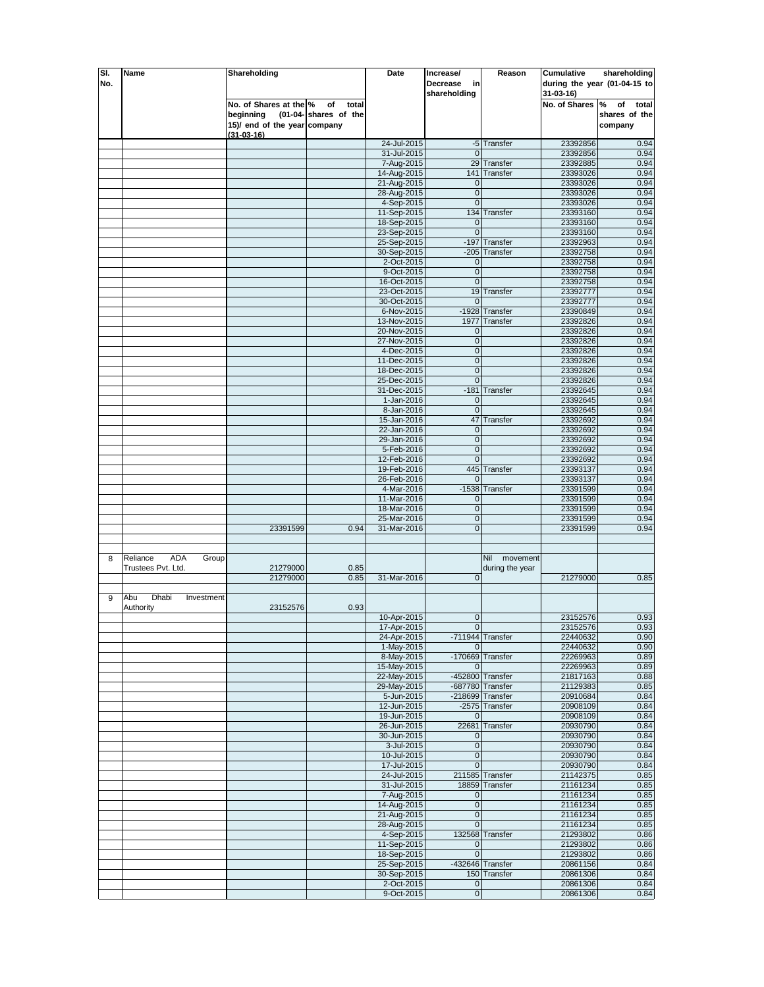| SI. | Name                            | Shareholding                 |                       | Date        | Increase/             | Reason               | Cumulative    | shareholding                 |
|-----|---------------------------------|------------------------------|-----------------------|-------------|-----------------------|----------------------|---------------|------------------------------|
| No. |                                 |                              |                       |             | Decrease<br>in        |                      |               | during the year (01-04-15 to |
|     |                                 |                              |                       |             | shareholding          |                      | 31-03-16)     |                              |
|     |                                 | No. of Shares at the %       | of<br>total           |             |                       |                      | No. of Shares | of<br>total<br>%             |
|     |                                 | beginning                    | (01-04- shares of the |             |                       |                      |               | shares of the                |
|     |                                 | 15)/ end of the year company |                       |             |                       |                      |               |                              |
|     |                                 |                              |                       |             |                       |                      |               | company                      |
|     |                                 | $(31 - 03 - 16)$             |                       | 24-Jul-2015 |                       | -5 Transfer          | 23392856      | 0.94                         |
|     |                                 |                              |                       | 31-Jul-2015 | $\Omega$              |                      | 23392856      | 0.94                         |
|     |                                 |                              |                       | 7-Aug-2015  | 29                    | Transfer             | 23392885      | 0.94                         |
|     |                                 |                              |                       | 14-Aug-2015 | 141                   | Transfer             | 23393026      | 0.94                         |
|     |                                 |                              |                       | 21-Aug-2015 | 0                     |                      | 23393026      | 0.94                         |
|     |                                 |                              |                       | 28-Aug-2015 | $\mathbf 0$           |                      | 23393026      | 0.94                         |
|     |                                 |                              |                       | 4-Sep-2015  | $\mathbf{0}$          |                      | 23393026      | 0.94                         |
|     |                                 |                              |                       | 11-Sep-2015 |                       | 134 Transfer         | 23393160      | 0.94                         |
|     |                                 |                              |                       | 18-Sep-2015 | 0                     |                      | 23393160      | 0.94                         |
|     |                                 |                              |                       | 23-Sep-2015 | $\mathbf 0$           |                      | 23393160      | 0.94                         |
|     |                                 |                              |                       |             | $-197$                |                      | 23392963      | 0.94                         |
|     |                                 |                              |                       | 25-Sep-2015 |                       | Transfer<br>Transfer |               | 0.94                         |
|     |                                 |                              |                       | 30-Sep-2015 | $-205$<br>$\mathbf 0$ |                      | 23392758      | 0.94                         |
|     |                                 |                              |                       | 2-Oct-2015  |                       |                      | 23392758      |                              |
|     |                                 |                              |                       | 9-Oct-2015  | 0 <br>$\overline{0}$  |                      | 23392758      | 0.94<br>0.94                 |
|     |                                 |                              |                       | 16-Oct-2015 |                       |                      | 23392758      |                              |
|     |                                 |                              |                       | 23-Oct-2015 |                       | 19 Transfer          | 23392777      | 0.94                         |
|     |                                 |                              |                       | 30-Oct-2015 | $\mathbf{0}$          |                      | 23392777      | 0.94                         |
|     |                                 |                              |                       | 6-Nov-2015  |                       | -1928 Transfer       | 23390849      | 0.94                         |
|     |                                 |                              |                       | 13-Nov-2015 |                       | 1977 Transfer        | 23392826      | 0.94                         |
|     |                                 |                              |                       | 20-Nov-2015 | $\overline{0}$        |                      | 23392826      | 0.94                         |
|     |                                 |                              |                       | 27-Nov-2015 | $\pmb{0}$             |                      | 23392826      | 0.94                         |
|     |                                 |                              |                       | 4-Dec-2015  | $\pmb{0}$             |                      | 23392826      | 0.94                         |
|     |                                 |                              |                       | 11-Dec-2015 | $\overline{0}$        |                      | 23392826      | 0.94                         |
|     |                                 |                              |                       | 18-Dec-2015 | $\mathbf{0}$          |                      | 23392826      | 0.94                         |
|     |                                 |                              |                       | 25-Dec-2015 | $\pmb{0}$             |                      | 23392826      | 0.94                         |
|     |                                 |                              |                       | 31-Dec-2015 | $-181$                | Transfer             | 23392645      | 0.94                         |
|     |                                 |                              |                       | 1-Jan-2016  | $\mathbf{0}$          |                      | 23392645      | 0.94                         |
|     |                                 |                              |                       | 8-Jan-2016  | $\mathbf 0$           |                      | 23392645      | 0.94                         |
|     |                                 |                              |                       | 15-Jan-2016 | 47                    | Transfer             | 23392692      | 0.94                         |
|     |                                 |                              |                       | 22-Jan-2016 | $\mathbf 0$           |                      | 23392692      | 0.94                         |
|     |                                 |                              |                       | 29-Jan-2016 | $\mathbf 0$           |                      | 23392692      | 0.94                         |
|     |                                 |                              |                       | 5-Feb-2016  | $\mathbf{0}$          |                      | 23392692      | 0.94                         |
|     |                                 |                              |                       | 12-Feb-2016 | $\overline{0}$        |                      | 23392692      | 0.94                         |
|     |                                 |                              |                       | 19-Feb-2016 |                       | 445 Transfer         | 23393137      | 0.94                         |
|     |                                 |                              |                       | 26-Feb-2016 | $\mathbf 0$           |                      | 23393137      | 0.94                         |
|     |                                 |                              |                       | 4-Mar-2016  |                       | -1538 Transfer       | 23391599      | 0.94                         |
|     |                                 |                              |                       | 11-Mar-2016 | 0                     |                      | 23391599      | 0.94                         |
|     |                                 |                              |                       | 18-Mar-2016 | $\mathbf 0$           |                      | 23391599      | 0.94                         |
|     |                                 |                              |                       | 25-Mar-2016 | $\overline{0}$        |                      | 23391599      | 0.94                         |
|     |                                 | 23391599                     | 0.94                  | 31-Mar-2016 | $\overline{0}$        |                      | 23391599      | 0.94                         |
|     |                                 |                              |                       |             |                       |                      |               |                              |
|     |                                 |                              |                       |             |                       |                      |               |                              |
| 8   | <b>ADA</b><br>Reliance<br>Group |                              |                       |             |                       | Nil<br>movement      |               |                              |
|     | Trustees Pvt. Ltd.              | 21279000                     | 0.85                  |             |                       | during the year      |               |                              |
|     |                                 | 21279000                     | 0.85                  | 31-Mar-2016 | $\mathbf{0}$          |                      | 21279000      | 0.85                         |
|     |                                 |                              |                       |             |                       |                      |               |                              |
| 9   | Abu<br>Dhabi<br>Investment      |                              |                       |             |                       |                      |               |                              |
|     | Authority                       | 23152576                     | 0.93                  |             |                       |                      |               |                              |
|     |                                 |                              |                       | 10-Apr-2015 | $\mathbf{0}$          |                      | 23152576      | 0.93                         |
|     |                                 |                              |                       | 17-Apr-2015 | $\overline{0}$        |                      | 23152576      | 0.93                         |
|     |                                 |                              |                       | 24-Apr-2015 |                       | -711944 Transfer     | 22440632      | 0.90                         |
|     |                                 |                              |                       | 1-May-2015  | $\Omega$              |                      | 22440632      | 0.90                         |
|     |                                 |                              |                       | 8-May-2015  |                       | -170669 Transfer     | 22269963      | 0.89                         |
|     |                                 |                              |                       | 15-May-2015 | 0                     |                      | 22269963      | 0.89                         |
|     |                                 |                              |                       | 22-May-2015 |                       | -452800 Transfer     | 21817163      | 0.88                         |
|     |                                 |                              |                       | 29-May-2015 |                       | -687780 Transfer     | 21129383      | 0.85                         |
|     |                                 |                              |                       | 5-Jun-2015  |                       | $-218699$ Transfer   | 20910684      | 0.84                         |
|     |                                 |                              |                       | 12-Jun-2015 |                       | -2575 Transfer       | 20908109      | 0.84                         |
|     |                                 |                              |                       | 19-Jun-2015 | $\mathbf 0$           |                      | 20908109      | 0.84                         |
|     |                                 |                              |                       | 26-Jun-2015 |                       | 22681 Transfer       | 20930790      | 0.84                         |
|     |                                 |                              |                       | 30-Jun-2015 | $\mathbf{0}$          |                      | 20930790      | 0.84                         |
|     |                                 |                              |                       | 3-Jul-2015  | $\overline{0}$        |                      | 20930790      | 0.84                         |
|     |                                 |                              |                       | 10-Jul-2015 | 0                     |                      | 20930790      | 0.84                         |
|     |                                 |                              |                       | 17-Jul-2015 | 0                     |                      | 20930790      | 0.84                         |
|     |                                 |                              |                       | 24-Jul-2015 |                       | 211585 Transfer      | 21142375      | 0.85                         |
|     |                                 |                              |                       | 31-Jul-2015 |                       | 18859 Transfer       | 21161234      | 0.85                         |
|     |                                 |                              |                       | 7-Aug-2015  | 0                     |                      | 21161234      | 0.85                         |
|     |                                 |                              |                       | 14-Aug-2015 | $\pmb{0}$             |                      | 21161234      | 0.85                         |
|     |                                 |                              |                       | 21-Aug-2015 | $\overline{0}$        |                      | 21161234      | 0.85                         |
|     |                                 |                              |                       | 28-Aug-2015 | $\overline{0}$        |                      | 21161234      | 0.85                         |
|     |                                 |                              |                       | 4-Sep-2015  |                       | 132568 Transfer      | 21293802      | 0.86                         |
|     |                                 |                              |                       | 11-Sep-2015 | $\mathbf 0$           |                      | 21293802      | 0.86                         |
|     |                                 |                              |                       | 18-Sep-2015 | $\overline{0}$        |                      | 21293802      | 0.86                         |
|     |                                 |                              |                       | 25-Sep-2015 |                       | $-432646$ Transfer   | 20861156      | 0.84                         |
|     |                                 |                              |                       | 30-Sep-2015 |                       | 150 Transfer         | 20861306      | 0.84                         |
|     |                                 |                              |                       | 2-Oct-2015  | 0                     |                      | 20861306      | 0.84                         |
|     |                                 |                              |                       | 9-Oct-2015  | $\overline{0}$        |                      | 20861306      | 0.84                         |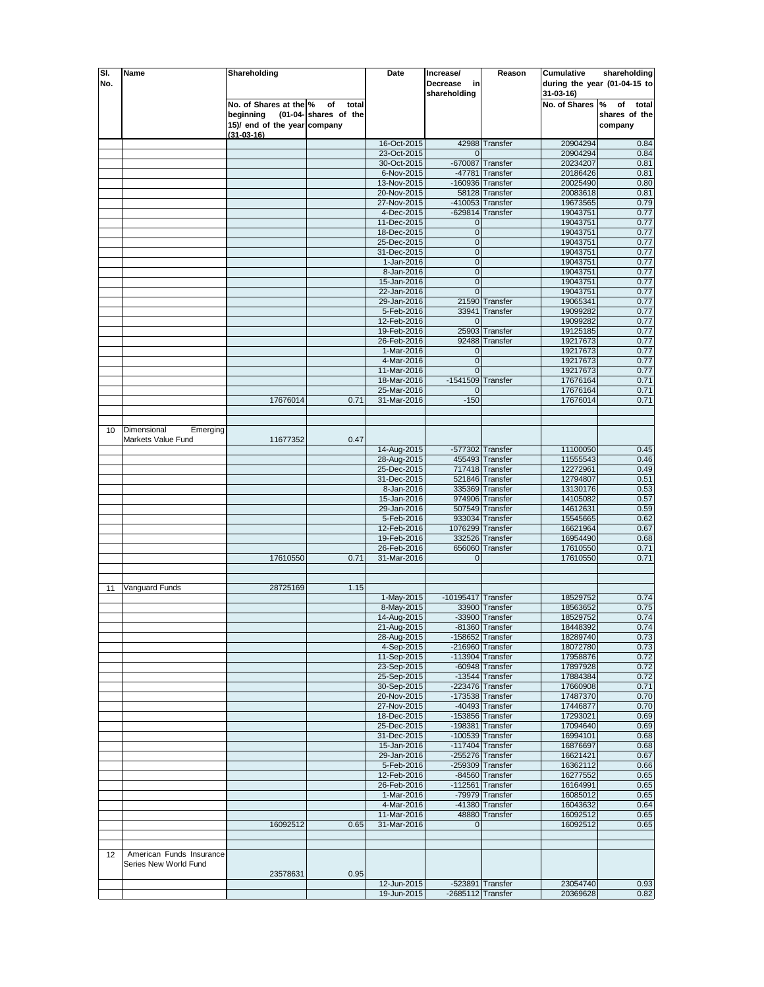| SI. | Name                     | Shareholding                 |                       | Date        | Increase/                       | Reason             | Cumulative           | shareholding                 |
|-----|--------------------------|------------------------------|-----------------------|-------------|---------------------------------|--------------------|----------------------|------------------------------|
| No. |                          |                              |                       |             | Decrease<br>in                  |                    |                      | during the year (01-04-15 to |
|     |                          |                              |                       |             | shareholding                    |                    | 31-03-16)            |                              |
|     |                          | No. of Shares at the %       | of<br>total           |             |                                 |                    | No. of Shares        | %<br>of<br>total             |
|     |                          | beginning                    | (01-04- shares of the |             |                                 |                    |                      | shares of the                |
|     |                          | 15)/ end of the year company |                       |             |                                 |                    |                      | company                      |
|     |                          |                              |                       |             |                                 |                    |                      |                              |
|     |                          | $(31 - 03 - 16)$             |                       | 16-Oct-2015 |                                 | 42988 Transfer     | 20904294             | 0.84                         |
|     |                          |                              |                       | 23-Oct-2015 | $\Omega$                        |                    | 20904294             | 0.84                         |
|     |                          |                              |                       | 30-Oct-2015 | $-670087$                       | Transfer           | 20234207             | 0.81                         |
|     |                          |                              |                       | 6-Nov-2015  |                                 | -47781 Transfer    | 20186426             | 0.81                         |
|     |                          |                              |                       | 13-Nov-2015 |                                 | $-160936$ Transfer | 20025490             | 0.80                         |
|     |                          |                              |                       | 20-Nov-2015 |                                 | 58128 Transfer     | 20083618             | 0.81                         |
|     |                          |                              |                       | 27-Nov-2015 |                                 | $-410053$ Transfer | 19673565             | 0.79                         |
|     |                          |                              |                       | 4-Dec-2015  |                                 | $-629814$ Transfer | 19043751             | 0.77                         |
|     |                          |                              |                       | 11-Dec-2015 | 0                               |                    | 19043751             | 0.77                         |
|     |                          |                              |                       | 18-Dec-2015 | $\mathbf 0$                     |                    | 19043751             | 0.77                         |
|     |                          |                              |                       | 25-Dec-2015 | $\pmb{0}$                       |                    | 19043751             | 0.77                         |
|     |                          |                              |                       | 31-Dec-2015 | $\mathbf 0$                     |                    | 19043751             | 0.77                         |
|     |                          |                              |                       | 1-Jan-2016  | $\mathbf{0}$                    |                    | 19043751             | 0.77                         |
|     |                          |                              |                       | 8-Jan-2016  | 0                               |                    | 19043751             | 0.77                         |
|     |                          |                              |                       | 15-Jan-2016 | $\mathbf{0}$                    |                    | 19043751             | 0.77                         |
|     |                          |                              |                       | 22-Jan-2016 | $\overline{0}$                  |                    | 19043751             | 0.77                         |
|     |                          |                              |                       | 29-Jan-2016 |                                 | 21590 Transfer     | 19065341             | 0.77                         |
|     |                          |                              |                       |             |                                 |                    |                      |                              |
|     |                          |                              |                       | 5-Feb-2016  | 33941                           | Transfer           | 19099282             | 0.77                         |
|     |                          |                              |                       | 12-Feb-2016 | $\Omega$                        |                    | 19099282             | 0.77                         |
|     |                          |                              |                       | 19-Feb-2016 |                                 | 25903 Transfer     | 19125185             | 0.77                         |
|     |                          |                              |                       | 26-Feb-2016 | 92488                           | Transfer           | 19217673             | 0.77                         |
|     |                          |                              |                       | 1-Mar-2016  | $\mathbf 0$                     |                    | 19217673             | 0.77                         |
|     |                          |                              |                       | 4-Mar-2016  | $\mathbf 0$                     |                    | 19217673             | 0.77                         |
|     |                          |                              |                       | 11-Mar-2016 | $\Omega$<br>$-1541509$ Transfer |                    | 19217673<br>17676164 | 0.77                         |
|     |                          |                              |                       | 18-Mar-2016 |                                 |                    |                      | 0.71                         |
|     |                          |                              |                       | 25-Mar-2016 | 0                               |                    | 17676164             | 0.71                         |
|     |                          | 17676014                     | 0.71                  | 31-Mar-2016 | $-150$                          |                    | 17676014             | 0.71                         |
|     |                          |                              |                       |             |                                 |                    |                      |                              |
|     |                          |                              |                       |             |                                 |                    |                      |                              |
| 10  | Dimensional<br>Emerging  |                              |                       |             |                                 |                    |                      |                              |
|     | Markets Value Fund       | 11677352                     | 0.47                  |             |                                 |                    |                      |                              |
|     |                          |                              |                       | 14-Aug-2015 |                                 | -577302 Transfer   | 11100050             | 0.45                         |
|     |                          |                              |                       | 28-Aug-2015 |                                 | 455493 Transfer    | 11555543             | 0.46                         |
|     |                          |                              |                       | 25-Dec-2015 |                                 | 717418 Transfer    | 12272961             | 0.49                         |
|     |                          |                              |                       | 31-Dec-2015 |                                 | 521846 Transfer    | 12794807             | 0.51                         |
|     |                          |                              |                       | 8-Jan-2016  |                                 | 335369 Transfer    | 13130176             | 0.53                         |
|     |                          |                              |                       | 15-Jan-2016 |                                 | 974906 Transfer    | 14105082             | 0.57                         |
|     |                          |                              |                       | 29-Jan-2016 |                                 | 507549 Transfer    | 14612631             | 0.59                         |
|     |                          |                              |                       | 5-Feb-2016  |                                 | 933034 Transfer    | 15545665             | 0.62                         |
|     |                          |                              |                       | 12-Feb-2016 |                                 | 1076299 Transfer   | 16621964             | 0.67                         |
|     |                          |                              |                       | 19-Feb-2016 |                                 | 332526 Transfer    | 16954490             | 0.68                         |
|     |                          |                              |                       | 26-Feb-2016 |                                 | 656060 Transfer    | 17610550             | 0.71                         |
|     |                          | 17610550                     | 0.71                  | 31-Mar-2016 | $\overline{0}$                  |                    | 17610550             | 0.71                         |
|     |                          |                              |                       |             |                                 |                    |                      |                              |
|     |                          |                              |                       |             |                                 |                    |                      |                              |
| 11  | Vanguard Funds           | 28725169                     | 1.15                  |             |                                 |                    |                      |                              |
|     |                          |                              |                       | 1-May-2015  | $-10195417$ Transfer            |                    | 18529752             | 0.74                         |
|     |                          |                              |                       | 8-May-2015  |                                 | 33900 Transfer     | 18563652             | 0.75                         |
|     |                          |                              |                       | 14-Aug-2015 |                                 | -33900 Transfer    | 18529752             | 0.74                         |
|     |                          |                              |                       | 21-Aug-2015 |                                 | $-81360$ Transfer  | 18448392             | 0.74                         |
|     |                          |                              |                       | 28-Aug-2015 |                                 | $-158652$ Transfer | 18289740             | 0.73                         |
|     |                          |                              |                       | 4-Sep-2015  |                                 | $-216960$ Transfer | 18072780             | 0.73                         |
|     |                          |                              |                       | 11-Sep-2015 |                                 | $-113904$ Transfer | 17958876             | 0.72                         |
|     |                          |                              |                       | 23-Sep-2015 |                                 | -60948 Transfer    | 17897928             | 0.72                         |
|     |                          |                              |                       | 25-Sep-2015 |                                 | -13544 Transfer    | 17884384             | 0.72                         |
|     |                          |                              |                       | 30-Sep-2015 |                                 | $-223476$ Transfer | 17660908             | 0.71                         |
|     |                          |                              |                       | 20-Nov-2015 |                                 | $-173538$ Transfer | 17487370             | 0.70                         |
|     |                          |                              |                       | 27-Nov-2015 |                                 | -40493 Transfer    | 17446877             | 0.70                         |
|     |                          |                              |                       | 18-Dec-2015 |                                 | -153856 Transfer   | 17293021             | 0.69                         |
|     |                          |                              |                       | 25-Dec-2015 |                                 | $-198381$ Transfer | 17094640             | 0.69                         |
|     |                          |                              |                       | 31-Dec-2015 |                                 | $-100539$ Transfer | 16994101             | 0.68                         |
|     |                          |                              |                       | 15-Jan-2016 |                                 | $-117404$ Transfer | 16876697             | 0.68                         |
|     |                          |                              |                       | 29-Jan-2016 |                                 | $-255276$ Transfer | 16621421             | 0.67                         |
|     |                          |                              |                       | 5-Feb-2016  |                                 | $-259309$ Transfer | 16362112             | 0.66                         |
|     |                          |                              |                       | 12-Feb-2016 |                                 | -84560 Transfer    | 16277552             | 0.65                         |
|     |                          |                              |                       | 26-Feb-2016 |                                 | $-112561$ Transfer | 16164991             | 0.65                         |
|     |                          |                              |                       | 1-Mar-2016  |                                 | -79979 Transfer    | 16085012             | 0.65                         |
|     |                          |                              |                       | 4-Mar-2016  |                                 | -41380 Transfer    | 16043632             | 0.64                         |
|     |                          |                              |                       | 11-Mar-2016 |                                 | 48880 Transfer     | 16092512             | 0.65                         |
|     |                          | 16092512                     | 0.65                  | 31-Mar-2016 | $\Omega$                        |                    | 16092512             | 0.65                         |
|     |                          |                              |                       |             |                                 |                    |                      |                              |
|     |                          |                              |                       |             |                                 |                    |                      |                              |
| 12  | American Funds Insurance |                              |                       |             |                                 |                    |                      |                              |
|     | Series New World Fund    |                              |                       |             |                                 |                    |                      |                              |
|     |                          | 23578631                     | 0.95                  |             |                                 |                    |                      |                              |
|     |                          |                              |                       | 12-Jun-2015 |                                 | $-523891$ Transfer | 23054740             | 0.93                         |
|     |                          |                              |                       | 19-Jun-2015 | $-2685112$ Transfer             |                    | 20369628             | 0.82                         |